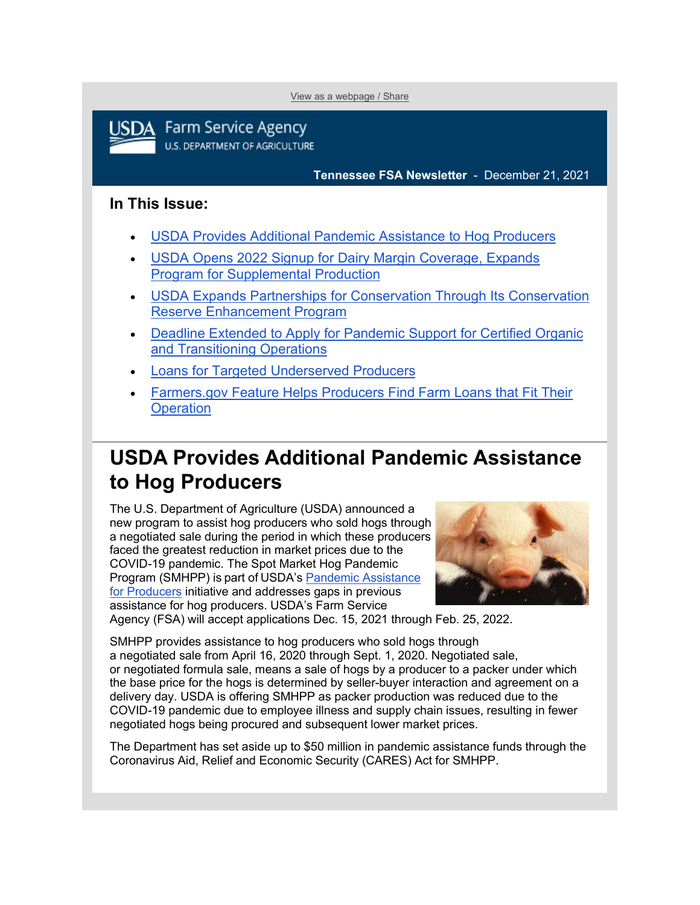[View as a webpage / Share](https://content.govdelivery.com/accounts/USDAFARMERS/bulletins/3020743)



**Farm Service Agency U.S. DEPARTMENT OF AGRICULTURE** 

**Tennessee FSA Newsletter** - December 21, 2021

### **In This Issue:**

- [USDA Provides Additional Pandemic Assistance to Hog Producers](#page-0-0)
- [USDA Opens 2022 Signup for Dairy Margin Coverage, Expands](#page-1-0)  [Program for Supplemental Production](#page-1-0)
- USDA Expands [Partnerships for Conservation Through Its Conservation](#page-1-1)  [Reserve Enhancement Program](#page-1-1)
- [Deadline Extended to Apply for Pandemic Support for Certified Organic](#page-3-0)  [and Transitioning Operations](#page-3-0)
- [Loans for Targeted Underserved Producers](#page-4-0)
- [Farmers.gov Feature Helps Producers Find Farm Loans that Fit Their](#page-5-0)  **[Operation](#page-5-0)**

# <span id="page-0-0"></span>**USDA Provides Additional Pandemic Assistance to Hog Producers**

The U.S. Department of Agriculture (USDA) announced a new program to assist hog producers who sold hogs through a negotiated sale during the period in which these producers faced the greatest reduction in market prices due to the COVID-19 pandemic. The Spot Market Hog Pandemic Program (SMHPP) is part of USDA's Pandemic Assistance [for Producers](http://www.farmers.gov/pandemic-assistance?utm_medium=email&utm_source=govdelivery) initiative and addresses gaps in previous assistance for hog producers. USDA's Farm Service



Agency (FSA) will accept applications Dec. 15, 2021 through Feb. 25, 2022.     

SMHPP provides assistance to hog producers who sold hogs through a negotiated sale from April 16, 2020 through Sept. 1, 2020. Negotiated sale, or negotiated formula sale, means a sale of hogs by a producer to a packer under which the base price for the hogs is determined by seller-buyer interaction and agreement on a delivery day. USDA is offering SMHPP as packer production was reduced due to the COVID-19 pandemic due to employee illness and supply chain issues, resulting in fewer negotiated hogs being procured and subsequent lower market prices.

The Department has set aside up to \$50 million in pandemic assistance funds through the Coronavirus Aid, Relief and Economic Security (CARES) Act for SMHPP.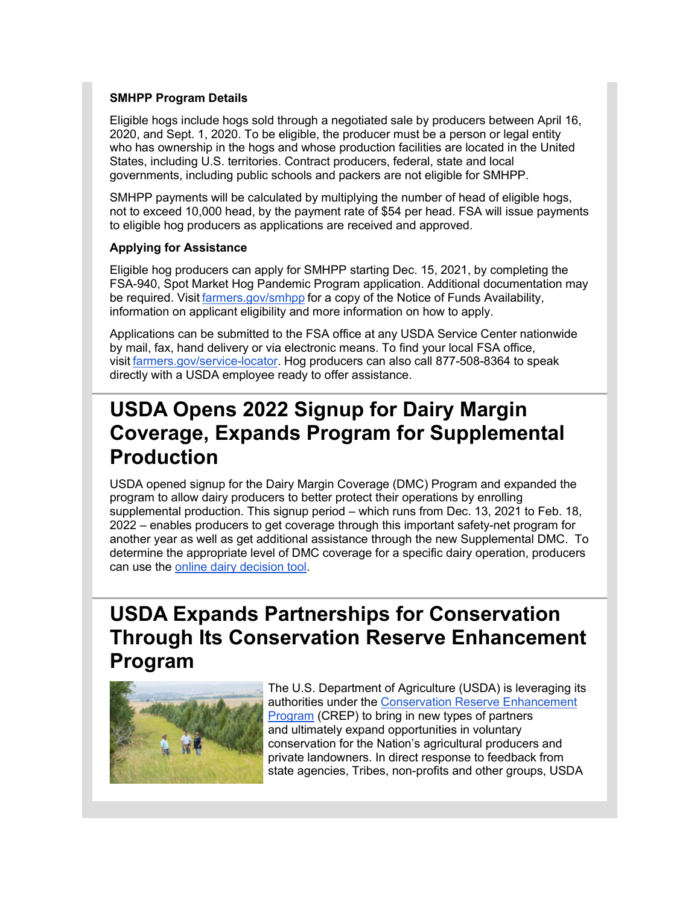#### **SMHPP Program Details**

Eligible hogs include hogs sold through a negotiated sale by producers between April 16, 2020, and Sept. 1, 2020. To be eligible, the producer must be a person or legal entity who has ownership in the hogs and whose production facilities are located in the United States, including U.S. territories. Contract producers, federal, state and local governments, including public schools and packers are not eligible for SMHPP. 

SMHPP payments will be calculated by multiplying the number of head of eligible hogs, not to exceed 10,000 head, by the payment rate of \$54 per head. FSA will issue payments to eligible hog producers as applications are received and approved.

#### **Applying for Assistance**

Eligible hog producers can apply for SMHPP starting Dec. 15, 2021, by completing the FSA-940, Spot Market Hog Pandemic Program application. Additional documentation may be required. Visit [farmers.gov/smhpp](http://www.farmers.gov/smhpp?utm_medium=email&utm_source=govdelivery) for a copy of the Notice of Funds Availability, information on applicant eligibility and more information on how to apply. 

Applications can be submitted to the FSA office at any USDA Service Center nationwide by mail, fax, hand delivery or via electronic means. To find your local FSA office, visit [farmers.gov/service-locator.](http://www.farmers.gov/service-locator?utm_medium=email&utm_source=govdelivery) Hog producers can also call 877-508-8364 to speak directly with a USDA employee ready to offer assistance.

# <span id="page-1-0"></span>**USDA Opens 2022 Signup for Dairy Margin Coverage, Expands Program for Supplemental Production**

USDA opened signup for the Dairy Margin Coverage (DMC) Program and expanded the program to allow dairy producers to better protect their operations by enrolling supplemental production. This signup period – which runs from Dec. 13, 2021 to Feb. 18, 2022 – enables producers to get coverage through this important safety-net program for another year as well as get additional assistance through the new Supplemental DMC. To determine the appropriate level of DMC coverage for a specific dairy operation, producers can use the [online dairy decision tool.](https://gcc02.safelinks.protection.outlook.com/?url=https%3A%2F%2Fdmc.dairymarkets.org%2F%3Futm_medium%3Demail%26utm_source%3Dgovdelivery&data=04%7C01%7C%7C0468dc09491243542bcd08d9c4bf64e6%7Ced5b36e701ee4ebc867ee03cfa0d4697%7C0%7C0%7C637757148861057409%7CUnknown%7CTWFpbGZsb3d8eyJWIjoiMC4wLjAwMDAiLCJQIjoiV2luMzIiLCJBTiI6Ik1haWwiLCJXVCI6Mn0%3D%7C3000&sdata=%2BRB2e5WXU%2FAO3x5w%2BRyj7td2yn3azSRRHtOdCyREFwA%3D&reserved=0)

# <span id="page-1-1"></span>**USDA Expands Partnerships for Conservation Through Its Conservation Reserve Enhancement Program**



The U.S. Department of Agriculture (USDA) is leveraging its authorities under the [Conservation Reserve Enhancement](https://gcc02.safelinks.protection.outlook.com/?url=https%3A%2F%2Fwww.fsa.usda.gov%2Fprograms-and-services%2Fconservation-programs%2Fconservation-reserve-enhancement%2Findex%3Futm_medium%3Demail%26utm_source%3Dgovdelivery&data=04%7C01%7C%7C0468dc09491243542bcd08d9c4bf64e6%7Ced5b36e701ee4ebc867ee03cfa0d4697%7C0%7C0%7C637757148861067364%7CUnknown%7CTWFpbGZsb3d8eyJWIjoiMC4wLjAwMDAiLCJQIjoiV2luMzIiLCJBTiI6Ik1haWwiLCJXVCI6Mn0%3D%7C3000&sdata=hgmFxOH%2Ftgg7StOiElddcc%2FTgqQiHcgMtrlEPqDBTYg%3D&reserved=0)  **[Program](https://gcc02.safelinks.protection.outlook.com/?url=https%3A%2F%2Fwww.fsa.usda.gov%2Fprograms-and-services%2Fconservation-programs%2Fconservation-reserve-enhancement%2Findex%3Futm_medium%3Demail%26utm_source%3Dgovdelivery&data=04%7C01%7C%7C0468dc09491243542bcd08d9c4bf64e6%7Ced5b36e701ee4ebc867ee03cfa0d4697%7C0%7C0%7C637757148861067364%7CUnknown%7CTWFpbGZsb3d8eyJWIjoiMC4wLjAwMDAiLCJQIjoiV2luMzIiLCJBTiI6Ik1haWwiLCJXVCI6Mn0%3D%7C3000&sdata=hgmFxOH%2Ftgg7StOiElddcc%2FTgqQiHcgMtrlEPqDBTYg%3D&reserved=0)** (CREP) to bring in new types of partners and ultimately expand opportunities in voluntary conservation for the Nation's agricultural producers and private landowners. In direct response to feedback from state agencies, Tribes, non-profits and other groups, USDA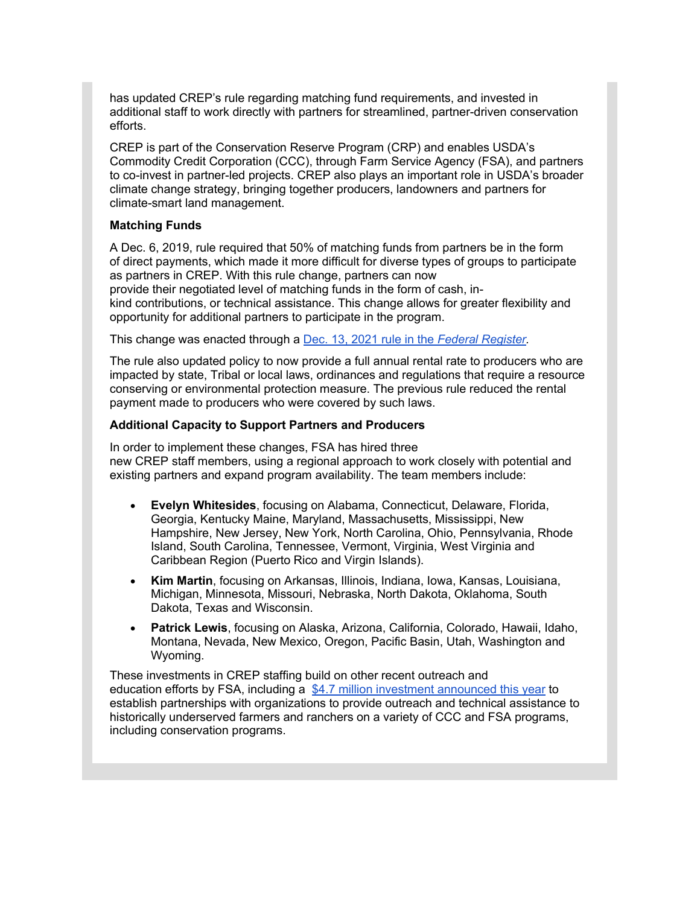has updated CREP's rule regarding matching fund requirements, and invested in additional staff to work directly with partners for streamlined, partner-driven conservation efforts. 

CREP is part of the Conservation Reserve Program (CRP) and enables USDA's Commodity Credit Corporation (CCC), through Farm Service Agency (FSA), and partners to co-invest in partner-led projects. CREP also plays an important role in USDA's broader climate change strategy, bringing together producers, landowners and partners for climate-smart land management.

#### **Matching Funds**

A Dec. 6, 2019, rule required that 50% of matching funds from partners be in the form of direct payments, which made it more difficult for diverse types of groups to participate as partners in CREP. With this rule change, partners can now provide their negotiated level of matching funds in the form of cash, inkind contributions, or technical assistance. This change allows for greater flexibility and opportunity for additional partners to participate in the program.

This change was enacted through a [Dec. 13, 2021 rule](https://gcc02.safelinks.protection.outlook.com/?url=https%3A%2F%2Fwww.federalregister.gov%2Fdocuments%2F2021%2F12%2F13%2F2021-26827%2Fsupplemental-dairy-margin-coverage-payment-conservation-reserve-program-dairy-indemnity-payment%3Futm_medium%3Demail%26utm_source%3Dgovdelivery&data=04%7C01%7C%7C0468dc09491243542bcd08d9c4bf64e6%7Ced5b36e701ee4ebc867ee03cfa0d4697%7C0%7C0%7C637757148861067364%7CUnknown%7CTWFpbGZsb3d8eyJWIjoiMC4wLjAwMDAiLCJQIjoiV2luMzIiLCJBTiI6Ik1haWwiLCJXVCI6Mn0%3D%7C3000&sdata=eZbs9IGugCCS8RU92D92AeI3MStcxLq%2Fh28ap6nNz48%3D&reserved=0) in the *Federal Register.*

The rule also updated policy to now provide a full annual rental rate to producers who are impacted by state, Tribal or local laws, ordinances and regulations that require a resource conserving or environmental protection measure. The previous rule reduced the rental payment made to producers who were covered by such laws.

#### **Additional Capacity to Support Partners and Producers**

In order to implement these changes, FSA has hired three new CREP staff members, using a regional approach to work closely with potential and existing partners and expand program availability. The team members include:

- **Evelyn Whitesides**, focusing on Alabama, Connecticut, Delaware, Florida, Georgia, Kentucky Maine, Maryland, Massachusetts, Mississippi, New Hampshire, New Jersey, New York, North Carolina, Ohio, Pennsylvania, Rhode Island, South Carolina, Tennessee, Vermont, Virginia, West Virginia and Caribbean Region (Puerto Rico and Virgin Islands).
- **Kim Martin**, focusing on Arkansas, Illinois, Indiana, Iowa, Kansas, Louisiana, Michigan, Minnesota, Missouri, Nebraska, North Dakota, Oklahoma, South Dakota, Texas and Wisconsin.
- **Patrick Lewis**, focusing on Alaska, Arizona, California, Colorado, Hawaii, Idaho, Montana, Nevada, New Mexico, Oregon, Pacific Basin, Utah, Washington and Wyoming.

These investments in CREP staffing build on other recent outreach and education efforts by FSA, including a [\\$4.7 million investment announced](https://gcc02.safelinks.protection.outlook.com/?url=https%3A%2F%2Fwww.fsa.usda.gov%2Fnews-room%2Fnews-releases%2F2021%2Fusda-invests-4-7-million-to-provide-outreach-and-technical-assistance-to-historically-underserved-farmers-and-ranchers%3Futm_medium%3Demail%26utm_source%3Dgovdelivery&data=04%7C01%7C%7C0468dc09491243542bcd08d9c4bf64e6%7Ced5b36e701ee4ebc867ee03cfa0d4697%7C0%7C0%7C637757148861077322%7CUnknown%7CTWFpbGZsb3d8eyJWIjoiMC4wLjAwMDAiLCJQIjoiV2luMzIiLCJBTiI6Ik1haWwiLCJXVCI6Mn0%3D%7C3000&sdata=7ue9EOCp8T9Fj8KtSE17IUn5FHjFBOLzVHmc%2Bg%2Bxd3g%3D&reserved=0) this year to establish partnerships with organizations to provide outreach and technical assistance to historically underserved farmers and ranchers on a variety of CCC and FSA programs, including conservation programs.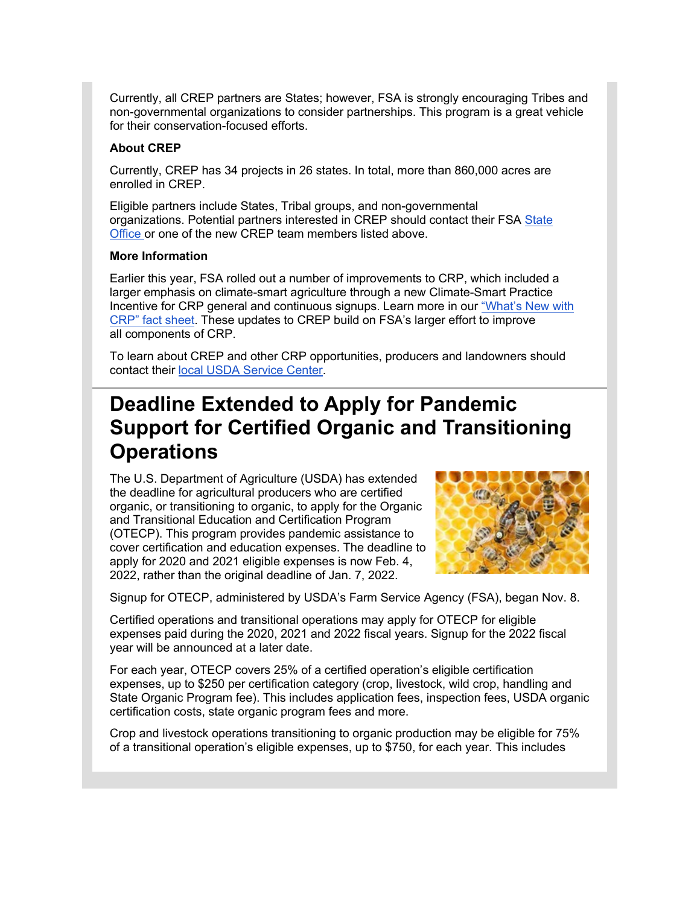Currently, all CREP partners are States; however, FSA is strongly encouraging Tribes and non-governmental organizations to consider partnerships. This program is a great vehicle for their conservation-focused efforts.

#### **About CREP**

Currently, CREP has 34 projects in 26 states. In total, more than 860,000 acres are enrolled in CREP.

Eligible partners include States, Tribal groups, and non-governmental organizations. Potential partners interested in CREP should contact their FSA [State](https://gcc02.safelinks.protection.outlook.com/?url=https%3A%2F%2Fwww.fsa.usda.gov%2Fstate-offices%2Findex%3Futm_medium%3Demail%26utm_source%3Dgovdelivery&data=04%7C01%7C%7C0468dc09491243542bcd08d9c4bf64e6%7Ced5b36e701ee4ebc867ee03cfa0d4697%7C0%7C0%7C637757148861077322%7CUnknown%7CTWFpbGZsb3d8eyJWIjoiMC4wLjAwMDAiLCJQIjoiV2luMzIiLCJBTiI6Ik1haWwiLCJXVCI6Mn0%3D%7C3000&sdata=UWanHN%2FhDEmKERl8hv0G%2FI4Th4rwGUg%2Frx2MHIkVUDo%3D&reserved=0)  [Office](https://gcc02.safelinks.protection.outlook.com/?url=https%3A%2F%2Fwww.fsa.usda.gov%2Fstate-offices%2Findex%3Futm_medium%3Demail%26utm_source%3Dgovdelivery&data=04%7C01%7C%7C0468dc09491243542bcd08d9c4bf64e6%7Ced5b36e701ee4ebc867ee03cfa0d4697%7C0%7C0%7C637757148861077322%7CUnknown%7CTWFpbGZsb3d8eyJWIjoiMC4wLjAwMDAiLCJQIjoiV2luMzIiLCJBTiI6Ik1haWwiLCJXVCI6Mn0%3D%7C3000&sdata=UWanHN%2FhDEmKERl8hv0G%2FI4Th4rwGUg%2Frx2MHIkVUDo%3D&reserved=0) or one of the new CREP team members listed above.

#### **More Information**

Earlier this year, FSA rolled out a number of improvements to CRP, which included a larger emphasis on climate-smart agriculture through a new Climate-Smart Practice Incentive for CRP general and continuous signups. Learn more in our ["What's New with](https://gcc02.safelinks.protection.outlook.com/?url=https%3A%2F%2Fwww.fsa.usda.gov%2FAssets%2FUSDA-FSA-Public%2Fusdafiles%2FFactSheets%2Fcrp-whats-new-fact-sheet.pdf%3Futm_medium%3Demail%26utm_source%3Dgovdelivery&data=04%7C01%7C%7C0468dc09491243542bcd08d9c4bf64e6%7Ced5b36e701ee4ebc867ee03cfa0d4697%7C0%7C0%7C637757148861087275%7CUnknown%7CTWFpbGZsb3d8eyJWIjoiMC4wLjAwMDAiLCJQIjoiV2luMzIiLCJBTiI6Ik1haWwiLCJXVCI6Mn0%3D%7C3000&sdata=jWGU2CXgrGnWChiPX8r8MX13SO0b8wfK%2BRTIMTvg2Uk%3D&reserved=0)  [CRP" fact sheet.](https://gcc02.safelinks.protection.outlook.com/?url=https%3A%2F%2Fwww.fsa.usda.gov%2FAssets%2FUSDA-FSA-Public%2Fusdafiles%2FFactSheets%2Fcrp-whats-new-fact-sheet.pdf%3Futm_medium%3Demail%26utm_source%3Dgovdelivery&data=04%7C01%7C%7C0468dc09491243542bcd08d9c4bf64e6%7Ced5b36e701ee4ebc867ee03cfa0d4697%7C0%7C0%7C637757148861087275%7CUnknown%7CTWFpbGZsb3d8eyJWIjoiMC4wLjAwMDAiLCJQIjoiV2luMzIiLCJBTiI6Ik1haWwiLCJXVCI6Mn0%3D%7C3000&sdata=jWGU2CXgrGnWChiPX8r8MX13SO0b8wfK%2BRTIMTvg2Uk%3D&reserved=0) These updates to CREP build on FSA's larger effort to improve all components of CRP.

To learn about CREP and other CRP opportunities, producers and landowners should contact their [local USDA Service Center.](http://www.farmers.gov/service-locator?utm_medium=email&utm_source=govdelivery)

# <span id="page-3-0"></span>**Deadline Extended to Apply for Pandemic Support for Certified Organic and Transitioning Operations**

The U.S. Department of Agriculture (USDA) has extended the deadline for agricultural producers who are certified organic, or transitioning to organic, to apply for the Organic and Transitional Education and Certification Program (OTECP). This program provides pandemic assistance to cover certification and education expenses. The deadline to apply for 2020 and 2021 eligible expenses is now Feb. 4, 2022, rather than the original deadline of Jan. 7, 2022.



Signup for OTECP, administered by USDA's Farm Service Agency (FSA), began Nov. 8.

Certified operations and transitional operations may apply for OTECP for eligible expenses paid during the 2020, 2021 and 2022 fiscal years. Signup for the 2022 fiscal year will be announced at a later date.

For each year, OTECP covers 25% of a certified operation's eligible certification expenses, up to \$250 per certification category (crop, livestock, wild crop, handling and State Organic Program fee). This includes application fees, inspection fees, USDA organic certification costs, state organic program fees and more.

Crop and livestock operations transitioning to organic production may be eligible for 75% of a transitional operation's eligible expenses, up to \$750, for each year. This includes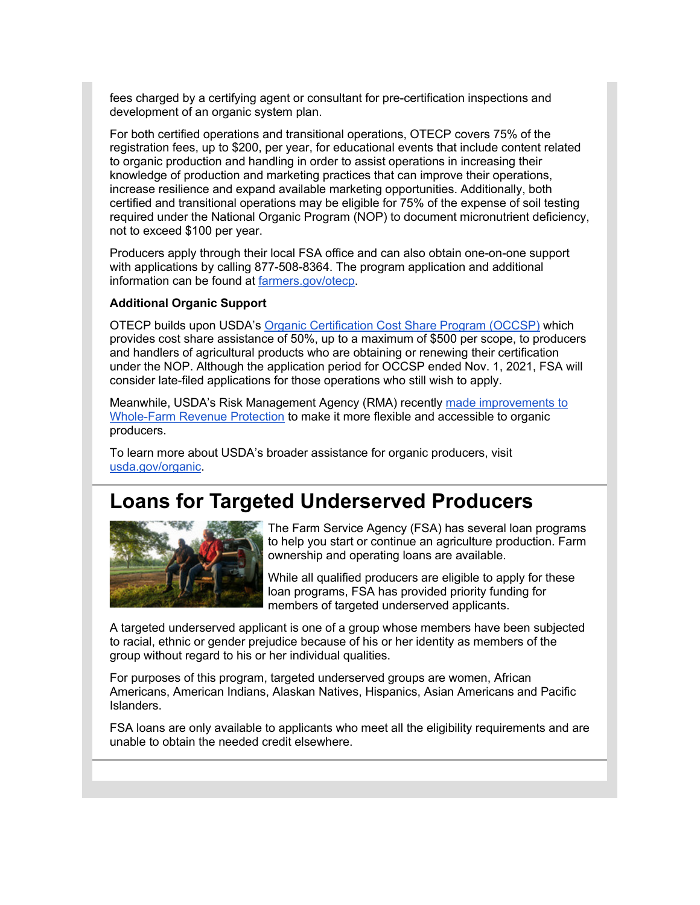fees charged by a certifying agent or consultant for pre-certification inspections and development of an organic system plan.

For both certified operations and transitional operations, OTECP covers 75% of the registration fees, up to \$200, per year, for educational events that include content related to organic production and handling in order to assist operations in increasing their knowledge of production and marketing practices that can improve their operations, increase resilience and expand available marketing opportunities. Additionally, both certified and transitional operations may be eligible for 75% of the expense of soil testing required under the National Organic Program (NOP) to document micronutrient deficiency, not to exceed \$100 per year.

Producers apply through their local FSA office and can also obtain one-on-one support with applications by calling 877-508-8364. The program application and additional information can be found at [farmers.gov/otecp.](http://www.farmers.gov/otecp?utm_medium=email&utm_source=govdelivery)

#### **Additional Organic Support**

OTECP builds upon USDA's [Organic Certification Cost Share Program \(OCCSP\)](https://gcc02.safelinks.protection.outlook.com/?url=https%3A%2F%2Fwww.fsa.usda.gov%2Fprograms-and-services%2Foccsp%2Findex%3Futm_medium%3Demail%26utm_source%3Dgovdelivery&data=04%7C01%7C%7C0468dc09491243542bcd08d9c4bf64e6%7Ced5b36e701ee4ebc867ee03cfa0d4697%7C0%7C0%7C637757148861087275%7CUnknown%7CTWFpbGZsb3d8eyJWIjoiMC4wLjAwMDAiLCJQIjoiV2luMzIiLCJBTiI6Ik1haWwiLCJXVCI6Mn0%3D%7C3000&sdata=MnG3lpQaM%2FsnqsJ6kO1eMpJzWI0un5LJD9MBZxnclg4%3D&reserved=0) which provides cost share assistance of 50%, up to a maximum of \$500 per scope, to producers and handlers of agricultural products who are obtaining or renewing their certification under the NOP. Although the application period for OCCSP ended Nov. 1, 2021, FSA will consider late-filed applications for those operations who still wish to apply.

Meanwhile, USDA's Risk Management Agency (RMA) recently [made improvements to](https://gcc02.safelinks.protection.outlook.com/?url=https%3A%2F%2Fwww.rma.usda.gov%2FNews-Room%2FPress%2FPress-Releases%2F2021-News%2FRMA-Makes-Improvements-to-Whole-Farm-Revenue-Protection%3Futm_medium%3Demail%26utm_source%3Dgovdelivery&data=04%7C01%7C%7C0468dc09491243542bcd08d9c4bf64e6%7Ced5b36e701ee4ebc867ee03cfa0d4697%7C0%7C0%7C637757148861087275%7CUnknown%7CTWFpbGZsb3d8eyJWIjoiMC4wLjAwMDAiLCJQIjoiV2luMzIiLCJBTiI6Ik1haWwiLCJXVCI6Mn0%3D%7C3000&sdata=FLC5qV7d2BdR%2B2mq%2FuC7ndIxxksu8AByl2H1XOoDauQ%3D&reserved=0)  [Whole-Farm Revenue Protection](https://gcc02.safelinks.protection.outlook.com/?url=https%3A%2F%2Fwww.rma.usda.gov%2FNews-Room%2FPress%2FPress-Releases%2F2021-News%2FRMA-Makes-Improvements-to-Whole-Farm-Revenue-Protection%3Futm_medium%3Demail%26utm_source%3Dgovdelivery&data=04%7C01%7C%7C0468dc09491243542bcd08d9c4bf64e6%7Ced5b36e701ee4ebc867ee03cfa0d4697%7C0%7C0%7C637757148861087275%7CUnknown%7CTWFpbGZsb3d8eyJWIjoiMC4wLjAwMDAiLCJQIjoiV2luMzIiLCJBTiI6Ik1haWwiLCJXVCI6Mn0%3D%7C3000&sdata=FLC5qV7d2BdR%2B2mq%2FuC7ndIxxksu8AByl2H1XOoDauQ%3D&reserved=0) to make it more flexible and accessible to organic producers.

To learn more about USDA's broader assistance for organic producers, visit [usda.gov/organic.](http://www.usda.gov/organic?utm_medium=email&utm_source=govdelivery)

## <span id="page-4-0"></span>**Loans for Targeted Underserved Producers**



The Farm Service Agency (FSA) has several loan programs to help you start or continue an agriculture production. Farm ownership and operating loans are available.

While all qualified producers are eligible to apply for these loan programs, FSA has provided priority funding for members of targeted underserved applicants.

A targeted underserved applicant is one of a group whose members have been subjected to racial, ethnic or gender prejudice because of his or her identity as members of the group without regard to his or her individual qualities.

For purposes of this program, targeted underserved groups are women, African Americans, American Indians, Alaskan Natives, Hispanics, Asian Americans and Pacific Islanders.

FSA loans are only available to applicants who meet all the eligibility requirements and are unable to obtain the needed credit elsewhere.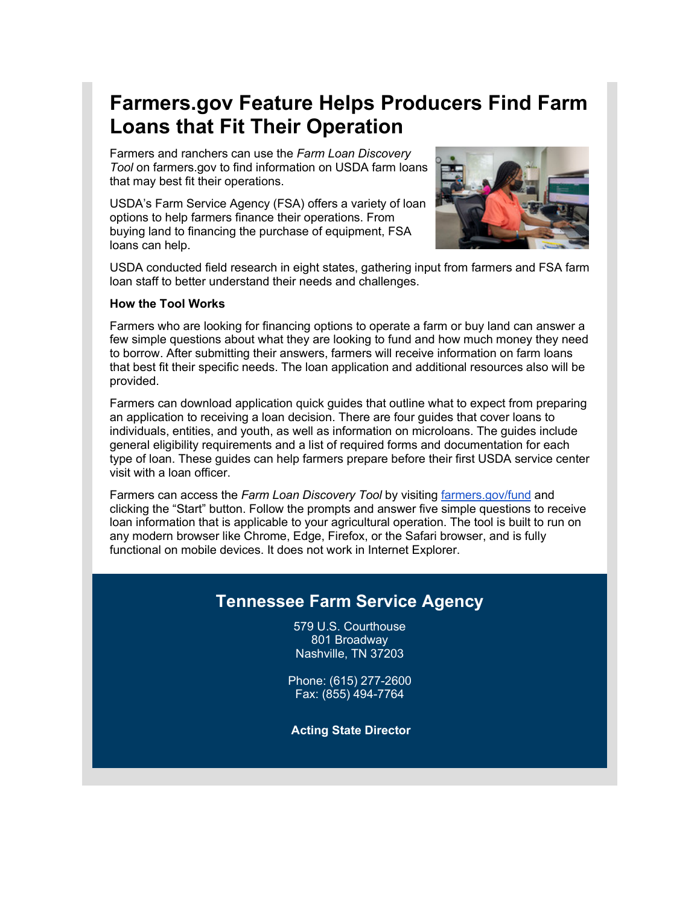# <span id="page-5-0"></span>**Farmers.gov Feature Helps Producers Find Farm Loans that Fit Their Operation**

Farmers and ranchers can use the *Farm Loan Discovery Tool* on farmers.gov to find information on USDA farm loans that may best fit their operations.

USDA's Farm Service Agency (FSA) offers a variety of loan options to help farmers finance their operations. From buying land to financing the purchase of equipment, FSA loans can help.



USDA conducted field research in eight states, gathering input from farmers and FSA farm loan staff to better understand their needs and challenges.

#### **How the Tool Works**

Farmers who are looking for financing options to operate a farm or buy land can answer a few simple questions about what they are looking to fund and how much money they need to borrow. After submitting their answers, farmers will receive information on farm loans that best fit their specific needs. The loan application and additional resources also will be provided.

Farmers can download application quick guides that outline what to expect from preparing an application to receiving a loan decision. There are four guides that cover loans to individuals, entities, and youth, as well as information on microloans. The guides include general eligibility requirements and a list of required forms and documentation for each type of loan. These guides can help farmers prepare before their first USDA service center visit with a loan officer.

Farmers can access the *Farm Loan Discovery Tool* by visiting [farmers.gov/fund](https://www.farmers.gov/fund?utm_medium=email&utm_source=govdelivery) and clicking the "Start" button. Follow the prompts and answer five simple questions to receive loan information that is applicable to your agricultural operation. The tool is built to run on any modern browser like Chrome, Edge, Firefox, or the Safari browser, and is fully functional on mobile devices. It does not work in Internet Explorer.

## **Tennessee Farm Service Agency**

579 U.S. Courthouse 801 Broadway Nashville, TN 37203

Phone: (615) 277-2600 Fax: (855) 494-7764

**Acting State Director**